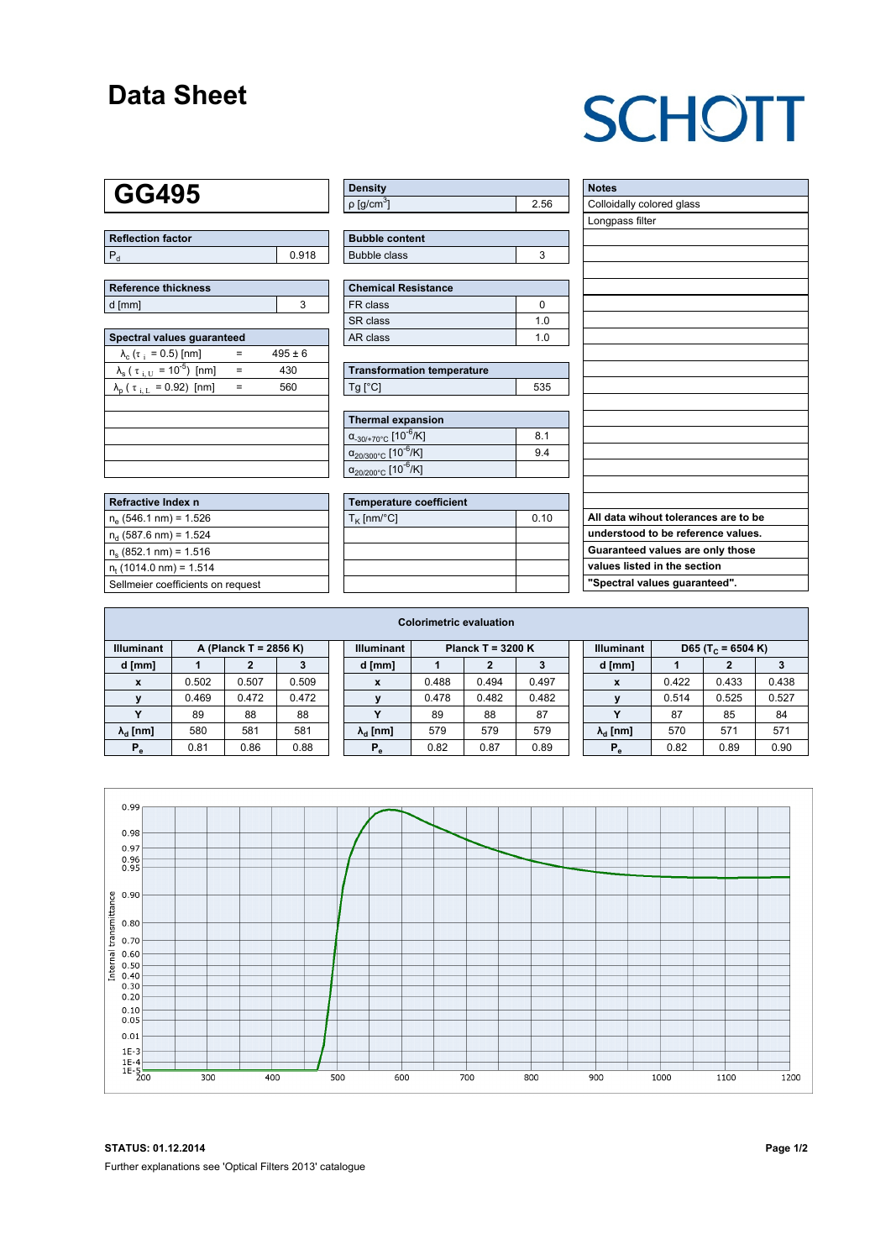### **Data Sheet**

# **SCHOTT**

### **GG495**

| Reflection factor |       |
|-------------------|-------|
| l P               | 0.918 |

| Reference thickness |  |  |  |  |  |  |
|---------------------|--|--|--|--|--|--|
| d [mm]              |  |  |  |  |  |  |

| Spectral values quaranteed                                     |     |             |  |  |  |  |  |  |  |
|----------------------------------------------------------------|-----|-------------|--|--|--|--|--|--|--|
| $\lambda_c$ ( $\tau_i$ = 0.5) [nm]                             |     | $495 \pm 6$ |  |  |  |  |  |  |  |
| $\lambda_{\rm s}$ ( $\tau_{\rm i,U}$ = 10 <sup>-5</sup> ) [nm] | $=$ | 430         |  |  |  |  |  |  |  |
| $\lambda_{\rm p}$ ( $\tau_{\rm i, L}$ = 0.92) [nm]             |     | 560         |  |  |  |  |  |  |  |
|                                                                |     |             |  |  |  |  |  |  |  |
|                                                                |     |             |  |  |  |  |  |  |  |
|                                                                |     |             |  |  |  |  |  |  |  |
|                                                                |     |             |  |  |  |  |  |  |  |
|                                                                |     |             |  |  |  |  |  |  |  |

| <b>Refractive Index n</b>         |
|-----------------------------------|
| $n_e$ (546.1 nm) = 1.526          |
| $n_{d}$ (587.6 nm) = 1.524        |
| $n_s$ (852.1 nm) = 1.516          |
| $n_{t}$ (1014.0 nm) = 1.514       |
| Sellmeier coefficients on request |

| Density                     |      |
|-----------------------------|------|
| $\rho$ [g/cm <sup>3</sup> ] | 2.56 |

| <b>Bubble content</b> |  |
|-----------------------|--|
| Bubble class          |  |

| <b>Chemical Resistance</b> |     |  |  |  |  |
|----------------------------|-----|--|--|--|--|
| FR class                   |     |  |  |  |  |
| l SR class                 | 1 N |  |  |  |  |
| l AR class                 | 1 በ |  |  |  |  |

| <b>Transformation temperature</b> |     |
|-----------------------------------|-----|
| $Ta$ $C1$                         | 535 |

| <b>Thermal expansion</b>                          |     |
|---------------------------------------------------|-----|
| $\alpha_{.30/+70^{\circ}C}$ [10 <sup>-6</sup> /K] | 8.1 |
| $\alpha_{20/300^{\circ}C}$ [10 <sup>-6</sup> /K]  | 9.4 |
| $\alpha_{20/200^{\circ}C}$ [10 <sup>-6</sup> /K]  |     |

| <b>Temperature coefficient</b> |      |  |  |  |  |  |  |
|--------------------------------|------|--|--|--|--|--|--|
| $T_{\rm K}$ [nm/°C]            | 0.10 |  |  |  |  |  |  |
|                                |      |  |  |  |  |  |  |
|                                |      |  |  |  |  |  |  |
|                                |      |  |  |  |  |  |  |
|                                |      |  |  |  |  |  |  |

| <b>Notes</b>                         |
|--------------------------------------|
| Colloidally colored glass            |
| Longpass filter                      |
|                                      |
|                                      |
|                                      |
|                                      |
|                                      |
|                                      |
|                                      |
|                                      |
|                                      |
|                                      |
|                                      |
|                                      |
|                                      |
|                                      |
|                                      |
|                                      |
|                                      |
| All data wihout tolerances are to be |
| understood to be reference values.   |
| Guaranteed values are only those     |
| values listed in the section         |
| "Spectral values guaranteed".        |

| <b>Colorimetric evaluation</b> |                       |       |       |  |                                          |       |       |       |  |                        |       |                               |       |
|--------------------------------|-----------------------|-------|-------|--|------------------------------------------|-------|-------|-------|--|------------------------|-------|-------------------------------|-------|
| <b>Illuminant</b>              | A (Planck T = 2856 K) |       |       |  | <b>Illuminant</b><br>Planck T = $3200 K$ |       |       |       |  | <b>Illuminant</b>      |       | D65 (T <sub>c</sub> = 6504 K) |       |
| d [mm]                         |                       |       |       |  | d [mm]                                   |       |       | з     |  | d [mm]                 |       |                               |       |
| X                              | 0.502                 | 0.507 | 0.509 |  | X                                        | 0.488 | 0.494 | 0.497 |  | X                      | 0.422 | 0.433                         | 0.438 |
|                                | 0.469                 | 0.472 | 0.472 |  | $\mathbf{v}$                             | 0.478 | 0.482 | 0.482 |  |                        | 0.514 | 0.525                         | 0.527 |
| $\mathbf{v}$                   | 89                    | 88    | 88    |  | v                                        | 89    | 88    | 87    |  | $\checkmark$           | 87    | 85                            | 84    |
| $\lambda_{\rm d}$ [nm]         | 580                   | 581   | 581   |  | $\lambda_{\rm d}$ [nm]                   | 579   | 579   | 579   |  | $\lambda_{\rm d}$ [nm] | 570   | 571                           | 571   |
| $P_e$                          | 0.81                  | 0.86  | 0.88  |  | $P_{\alpha}$                             | 0.82  | 0.87  | 0.89  |  | $P_{\alpha}$           | 0.82  | 0.89                          | 0.90  |
|                                |                       |       |       |  |                                          |       |       |       |  |                        |       |                               |       |



**STATUS: 01.12.2014 Page 1/2** Further explanations see 'Optical Filters 2013' catalogue